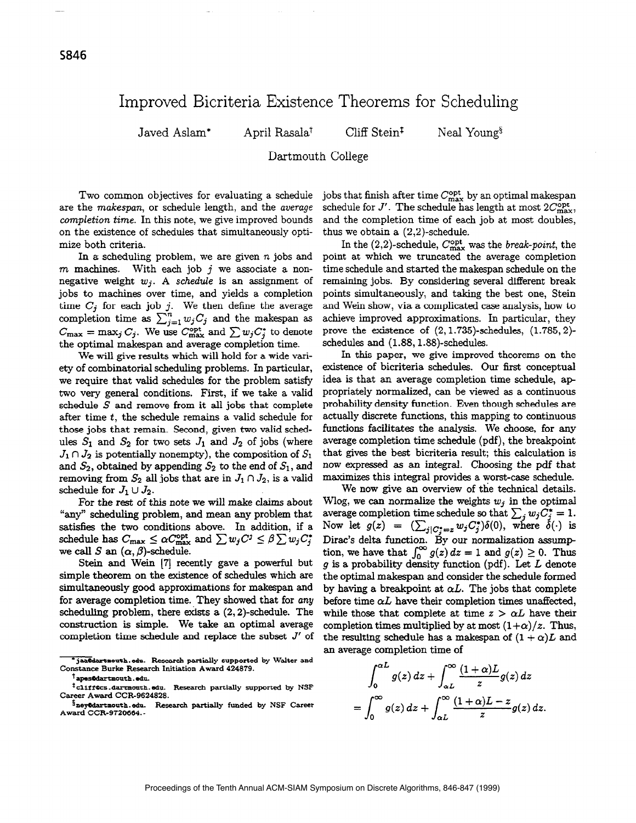## Improved Bicriteria Existence Theorems for Scheduling

 $Javed$  Aslam\* April Rasala<sup>†</sup> Cliff Stein<sup>‡</sup> Neal Young<sup>§</sup>

Dartmouth College

Two common objectives for evaluating a schedule are the makespan, or schedule length, and the average completion time. In this note, we give improved bounds on the existence of schedules that simultaneously optimize both criteria.

In a scheduling problem, we are given  $n$  jobs and  $m$  machines. With each job  $j$  we associate a nonnegative weight  $w_i$ . A schedule is an assignment of jobs to machines over time, and yields a completion time  $C_j$  for each job j. We then define the average completion time as  $\sum_{i=1}^n w_iC_i$  and the makespan as  $C_{\text{max}} = \max_j C_j$ . We use  $C_{\text{max}}^{\text{opt}}$  and  $\sum w_j C_j^*$  to denote the optimal makespan and average completion time.

We will give results which will hold for a wide variety of combinatorial scheduling problems. In particular, we require that valid schedules for the problem satisfy two very general conditions. First, if we take a valid schedule  $S$  and remove from it all jobs that complete after time t, the schedule remains a valid schedule for those jobs that remain. Second, given two valid schedules  $S_1$  and  $S_2$  for two sets  $J_1$  and  $J_2$  of jobs (where  $J_1 \cap J_2$  is potentially nonempty), the composition of  $S_1$ and  $S_2$ , obtained by appending  $S_2$  to the end of  $S_1$ , and removing from  $S_2$  all jobs that are in  $J_1 \cap J_2$ , is a valid schedule for  $J_1 \cup J_2$ .

For the rest of this note we will make claims about "any" scheduling problem, and mean any problem that satisfies the two conditions above. In addition, if a schedule has  $C_{\text{max}} \leq \alpha C_{\text{max}}^{\text{opt}}$  and  $\sum w_j C^j \leq \beta \sum w_j C_j^*$ we call S an  $(\alpha, \beta)$ -schedule.

Stein and Wein [7] recently gave a powerful but simple theorem on the existence of schedules which are simultaneously good approximations for makespan and for average completion time. They showed that for any scheduling problem, there exists a  $(2, 2)$ -schedule. The construction is simple. We take an optimal average completion time schedule and replace the subset  $J'$  of jobs that finish after time  $C_{\rm max}^{\rm opt}$  by an optimal makespan schedule for  $J'$ . The schedule has length at most  $2C_{\text{max}}^{\text{opt}},$ and the completion time of each job at most doubles, thus we obtain a (2,2)-schedule.

In the  $(2,2)$ -schedule,  $C_{\text{max}}^{\text{opt}}$  was the *break-point*, the point at which we truncated the average completion time schedule and started the makespan schedule on the remaining jobs. By considering several different break points simultaneously, and taking the best one, Stein and Wein show, via a complicated case analysis, how to achieve improved approximations. In particular, they prove the existence of  $(2, 1.735)$ -schedules,  $(1.785, 2)$ schedules and (1.88,1.88)-schedules.

In this paper, we give improved theorems on the existence of bicriteria schedules. Our first conceptual idea is that an average completion time schedule, ap propriately normalized, can be viewed as a continuous probability density function. Even though schedules are actually discrete functions, this mapping to continuous functions facilitates the analysis. We choose, for any average completion time schedule (pdf), the breakpoint that gives the best bicriteria result; this calculation is now expressed as an integral. Choosing the pdf that maximizes this integral provides a worst-case schedule.

We now give an overview of the technical details. Wlog, we can normalize the weights  $w_i$  in the optimal average completion time schedule so that  $\sum_j w_jC_j^* = 1$ . Now let  $g(z) = (\sum_{j|C_i=z} w_j C_j^*)\delta(0)$ , where  $\delta(\cdot)$  is Dirac's delta function. By our normalization assump tion, we have that  $\int_0^\infty g(z) dz = 1$  and  $g(z) \ge 0$ . Thus  $g$  is a probability density function (pdf). Let  $L$  denote the optimal makespan and consider the schedule formed by having a breakpoint at  $\alpha L$ . The jobs that complete before time  $\alpha L$  have their completion times unaffected, while those that complete at time  $z > \alpha L$  have their completion times multiplied by at most  $(1+\alpha)/z$ . Thus, the resulting schedule has a makespan of  $(1+\alpha)L$  and an average completion time of

$$
\int_0^{\alpha L} g(z) dz + \int_{\alpha L}^{\infty} \frac{(1+\alpha)L}{z} g(z) dz
$$
  
= 
$$
\int_0^{\infty} g(z) dz + \int_{\alpha L}^{\infty} \frac{(1+\alpha)L - z}{z} g(z) dz.
$$

<sup>\*</sup>jaaOdartmouth.edu. Research partially supported by Walter and Constance Burke Research Initiation Award 424879.

<sup>&</sup>lt;sup>†</sup>apes©dartmouth.edu.

<sup>&</sup>lt;sup>t</sup>cliff@cs.dartmouth.edu. Research partially supported by NSF Career Award CCR-9624828.

SneyOdartmouth.edu. Research partially funded by NSF Career Award CCR-9720664. -